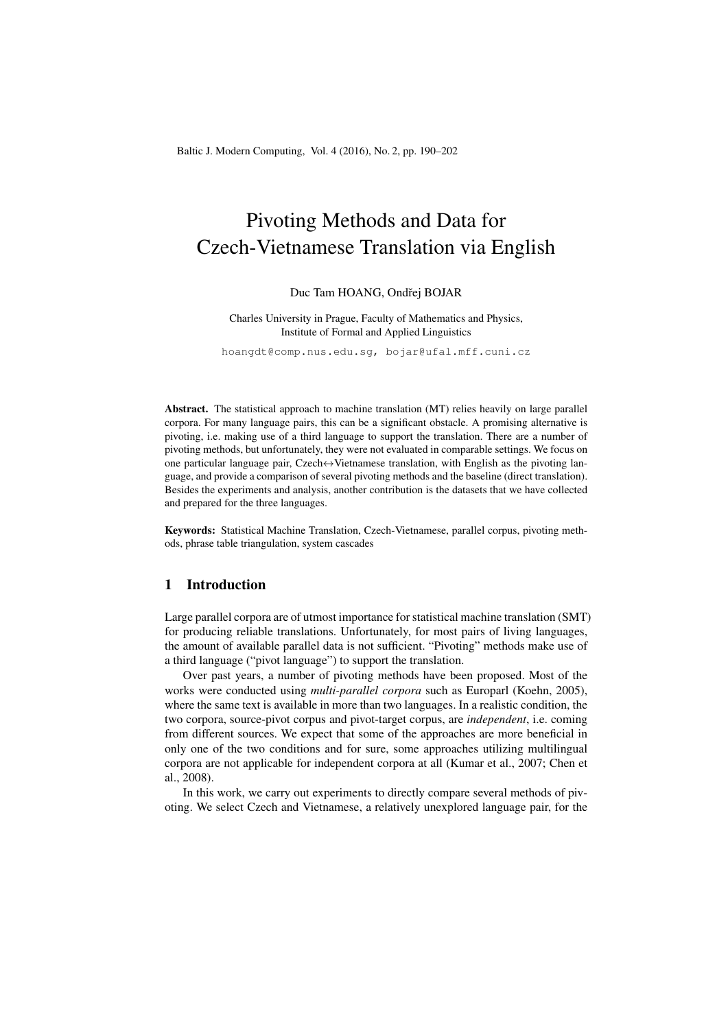# Pivoting Methods and Data for Czech-Vietnamese Translation via English

## Duc Tam HOANG, Ondřej BOJAR

Charles University in Prague, Faculty of Mathematics and Physics, Institute of Formal and Applied Linguistics

hoangdt@comp.nus.edu.sg, bojar@ufal.mff.cuni.cz

Abstract. The statistical approach to machine translation (MT) relies heavily on large parallel corpora. For many language pairs, this can be a significant obstacle. A promising alternative is pivoting, i.e. making use of a third language to support the translation. There are a number of pivoting methods, but unfortunately, they were not evaluated in comparable settings. We focus on one particular language pair, Czech $\leftrightarrow$ Vietnamese translation, with English as the pivoting language, and provide a comparison of several pivoting methods and the baseline (direct translation). Besides the experiments and analysis, another contribution is the datasets that we have collected and prepared for the three languages.

Keywords: Statistical Machine Translation, Czech-Vietnamese, parallel corpus, pivoting methods, phrase table triangulation, system cascades

# 1 Introduction

Large parallel corpora are of utmost importance for statistical machine translation (SMT) for producing reliable translations. Unfortunately, for most pairs of living languages, the amount of available parallel data is not sufficient. "Pivoting" methods make use of a third language ("pivot language") to support the translation.

Over past years, a number of pivoting methods have been proposed. Most of the works were conducted using *multi-parallel corpora* such as Europarl (Koehn, 2005), where the same text is available in more than two languages. In a realistic condition, the two corpora, source-pivot corpus and pivot-target corpus, are *independent*, i.e. coming from different sources. We expect that some of the approaches are more beneficial in only one of the two conditions and for sure, some approaches utilizing multilingual corpora are not applicable for independent corpora at all (Kumar et al., 2007; Chen et al., 2008).

In this work, we carry out experiments to directly compare several methods of pivoting. We select Czech and Vietnamese, a relatively unexplored language pair, for the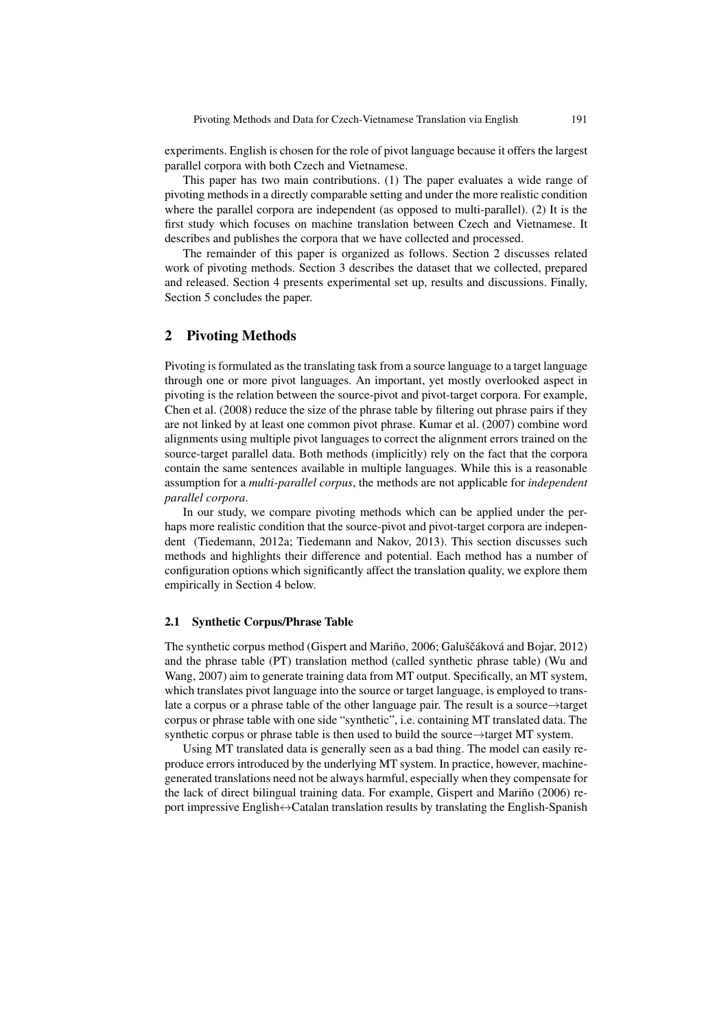experiments. English is chosen for the role of pivot language because it offers the largest parallel corpora with both Czech and Vietnamese.

This paper has two main contributions. (1) The paper evaluates a wide range of pivoting methods in a directly comparable setting and under the more realistic condition where the parallel corpora are independent (as opposed to multi-parallel). (2) It is the first study which focuses on machine translation between Czech and Vietnamese. It describes and publishes the corpora that we have collected and processed.

The remainder of this paper is organized as follows. Section 2 discusses related work of pivoting methods. Section 3 describes the dataset that we collected, prepared and released. Section 4 presents experimental set up, results and discussions. Finally, Section 5 concludes the paper.

# 2 Pivoting Methods

Pivoting is formulated as the translating task from a source language to a target language through one or more pivot languages. An important, yet mostly overlooked aspect in pivoting is the relation between the source-pivot and pivot-target corpora. For example, Chen et al. (2008) reduce the size of the phrase table by filtering out phrase pairs if they are not linked by at least one common pivot phrase. Kumar et al. (2007) combine word alignments using multiple pivot languages to correct the alignment errors trained on the source-target parallel data. Both methods (implicitly) rely on the fact that the corpora contain the same sentences available in multiple languages. While this is a reasonable assumption for a *multi-parallel corpus*, the methods are not applicable for *independent parallel corpora*.

In our study, we compare pivoting methods which can be applied under the perhaps more realistic condition that the source-pivot and pivot-target corpora are independent (Tiedemann, 2012a; Tiedemann and Nakov, 2013). This section discusses such methods and highlights their difference and potential. Each method has a number of configuration options which significantly affect the translation quality, we explore them empirically in Section 4 below.

## 2.1 Synthetic Corpus/Phrase Table

The synthetic corpus method (Gispert and Mariño, 2006; Galuščáková and Bojar, 2012) and the phrase table (PT) translation method (called synthetic phrase table) (Wu and Wang, 2007) aim to generate training data from MT output. Specifically, an MT system, which translates pivot language into the source or target language, is employed to translate a corpus or a phrase table of the other language pair. The result is a source→target corpus or phrase table with one side "synthetic", i.e. containing MT translated data. The synthetic corpus or phrase table is then used to build the source→target MT system.

Using MT translated data is generally seen as a bad thing. The model can easily reproduce errors introduced by the underlying MT system. In practice, however, machinegenerated translations need not be always harmful, especially when they compensate for the lack of direct bilingual training data. For example, Gispert and Mariño (2006) report impressive English↔Catalan translation results by translating the English-Spanish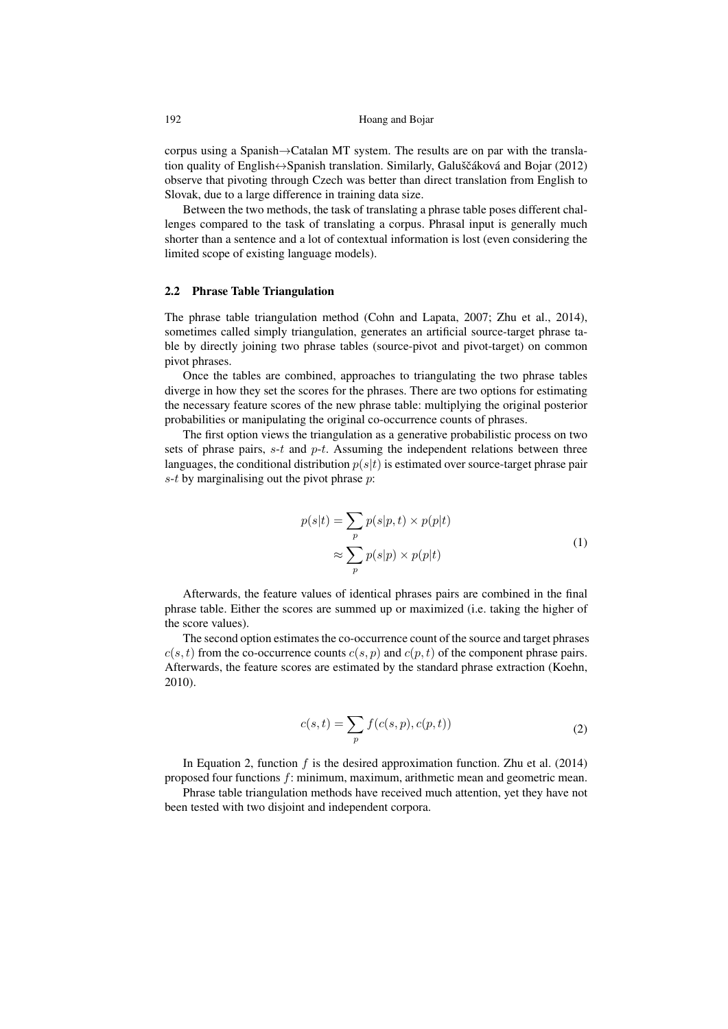corpus using a Spanish→Catalan MT system. The results are on par with the translation quality of English $\leftrightarrow$ Spanish translation. Similarly, Galuščáková and Bojar (2012) observe that pivoting through Czech was better than direct translation from English to Slovak, due to a large difference in training data size.

Between the two methods, the task of translating a phrase table poses different challenges compared to the task of translating a corpus. Phrasal input is generally much shorter than a sentence and a lot of contextual information is lost (even considering the limited scope of existing language models).

#### 2.2 Phrase Table Triangulation

The phrase table triangulation method (Cohn and Lapata, 2007; Zhu et al., 2014), sometimes called simply triangulation, generates an artificial source-target phrase table by directly joining two phrase tables (source-pivot and pivot-target) on common pivot phrases.

Once the tables are combined, approaches to triangulating the two phrase tables diverge in how they set the scores for the phrases. There are two options for estimating the necessary feature scores of the new phrase table: multiplying the original posterior probabilities or manipulating the original co-occurrence counts of phrases.

The first option views the triangulation as a generative probabilistic process on two sets of phrase pairs,  $s-t$  and  $p-t$ . Assuming the independent relations between three languages, the conditional distribution  $p(s|t)$  is estimated over source-target phrase pair  $s-t$  by marginalising out the pivot phrase  $p$ :

$$
p(s|t) = \sum_{p} p(s|p, t) \times p(p|t)
$$
  
\n
$$
\approx \sum_{p} p(s|p) \times p(p|t)
$$
 (1)

Afterwards, the feature values of identical phrases pairs are combined in the final phrase table. Either the scores are summed up or maximized (i.e. taking the higher of the score values).

The second option estimates the co-occurrence count of the source and target phrases  $c(s, t)$  from the co-occurrence counts  $c(s, p)$  and  $c(p, t)$  of the component phrase pairs. Afterwards, the feature scores are estimated by the standard phrase extraction (Koehn, 2010).

$$
c(s,t) = \sum_{p} f(c(s,p), c(p,t))
$$
\n(2)

In Equation 2, function  $f$  is the desired approximation function. Zhu et al. (2014) proposed four functions f: minimum, maximum, arithmetic mean and geometric mean.

Phrase table triangulation methods have received much attention, yet they have not been tested with two disjoint and independent corpora.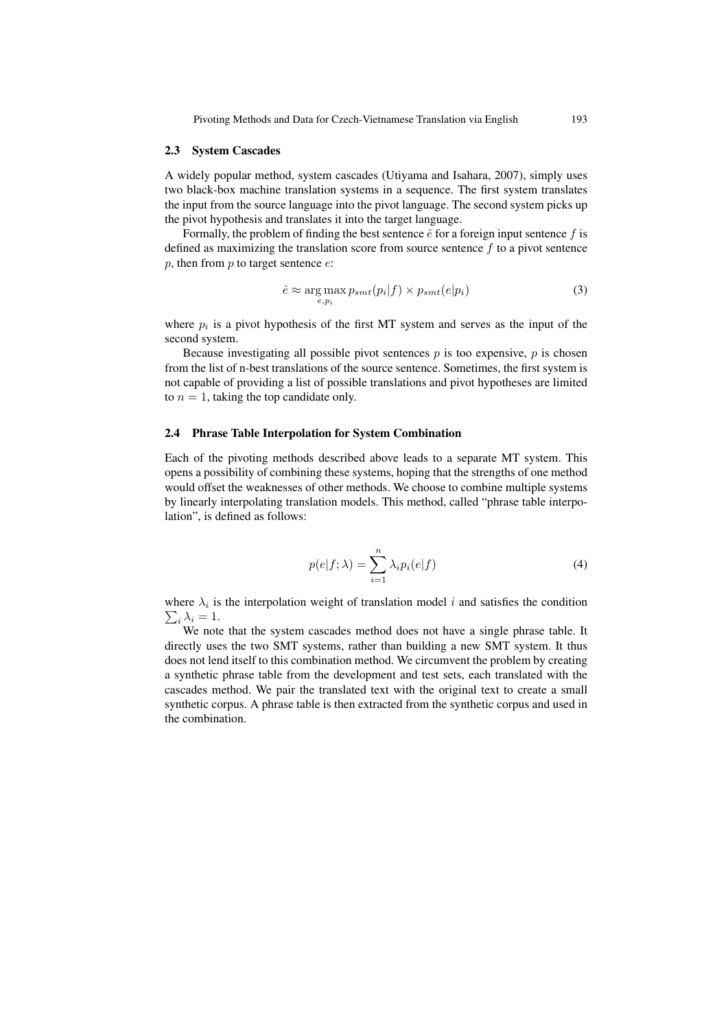#### 2.3 System Cascades

A widely popular method, system cascades (Utiyama and Isahara, 2007), simply uses two black-box machine translation systems in a sequence. The first system translates the input from the source language into the pivot language. The second system picks up the pivot hypothesis and translates it into the target language.

Formally, the problem of finding the best sentence  $\hat{e}$  for a foreign input sentence  $f$  is defined as maximizing the translation score from source sentence  $f$  to a pivot sentence p, then from  $p$  to target sentence  $e$ :

$$
\hat{e} \approx \underset{e, p_i}{\arg \max} p_{smt}(p_i|f) \times p_{smt}(e|p_i) \tag{3}
$$

where  $p_i$  is a pivot hypothesis of the first MT system and serves as the input of the second system.

Because investigating all possible pivot sentences  $p$  is too expensive,  $p$  is chosen from the list of n-best translations of the source sentence. Sometimes, the first system is not capable of providing a list of possible translations and pivot hypotheses are limited to  $n = 1$ , taking the top candidate only.

# 2.4 Phrase Table Interpolation for System Combination

Each of the pivoting methods described above leads to a separate MT system. This opens a possibility of combining these systems, hoping that the strengths of one method would offset the weaknesses of other methods. We choose to combine multiple systems by linearly interpolating translation models. This method, called "phrase table interpolation", is defined as follows:

$$
p(e|f; \lambda) = \sum_{i=1}^{n} \lambda_i p_i(e|f)
$$
 (4)

where  $\lambda_i$  is the interpolation weight of translation model i and satisfies the condition  $\sum_i \lambda_i = 1.$ 

We note that the system cascades method does not have a single phrase table. It directly uses the two SMT systems, rather than building a new SMT system. It thus does not lend itself to this combination method. We circumvent the problem by creating a synthetic phrase table from the development and test sets, each translated with the cascades method. We pair the translated text with the original text to create a small synthetic corpus. A phrase table is then extracted from the synthetic corpus and used in the combination.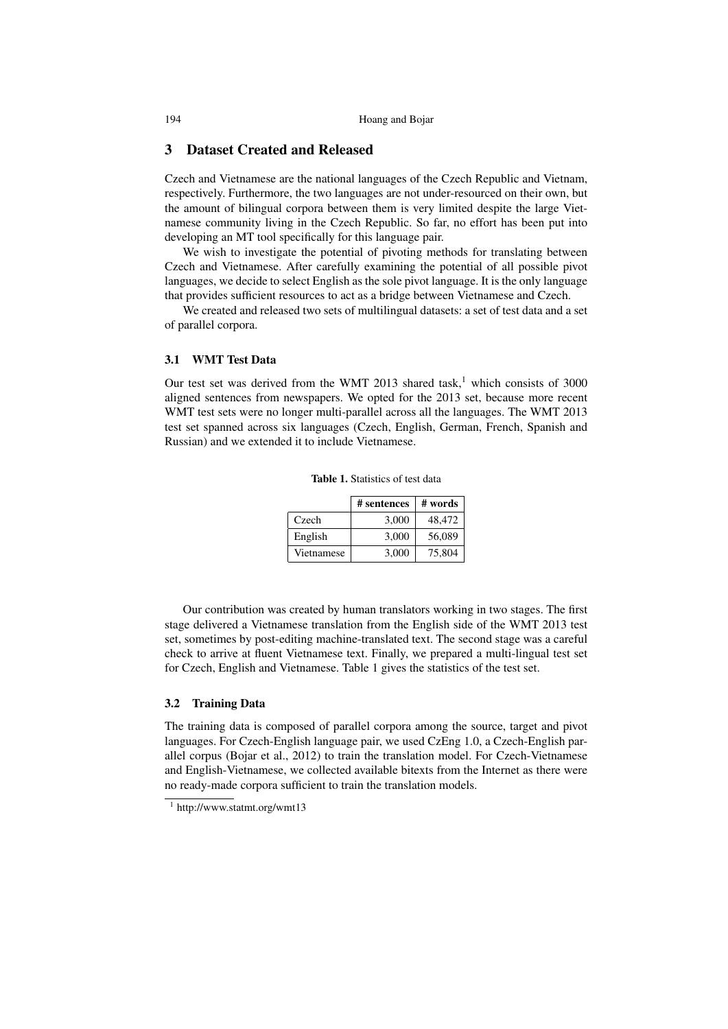# 3 Dataset Created and Released

Czech and Vietnamese are the national languages of the Czech Republic and Vietnam, respectively. Furthermore, the two languages are not under-resourced on their own, but the amount of bilingual corpora between them is very limited despite the large Vietnamese community living in the Czech Republic. So far, no effort has been put into developing an MT tool specifically for this language pair.

We wish to investigate the potential of pivoting methods for translating between Czech and Vietnamese. After carefully examining the potential of all possible pivot languages, we decide to select English as the sole pivot language. It is the only language that provides sufficient resources to act as a bridge between Vietnamese and Czech.

We created and released two sets of multilingual datasets: a set of test data and a set of parallel corpora.

### 3.1 WMT Test Data

Our test set was derived from the WMT 2013 shared task,<sup>1</sup> which consists of 3000 aligned sentences from newspapers. We opted for the 2013 set, because more recent WMT test sets were no longer multi-parallel across all the languages. The WMT 2013 test set spanned across six languages (Czech, English, German, French, Spanish and Russian) and we extended it to include Vietnamese.

|            | # sentences | # words |
|------------|-------------|---------|
| Czech      | 3.000       | 48,472  |
| English    | 3,000       | 56,089  |
| Vietnamese | 3.000       | 75,804  |

Table 1. Statistics of test data

Our contribution was created by human translators working in two stages. The first stage delivered a Vietnamese translation from the English side of the WMT 2013 test set, sometimes by post-editing machine-translated text. The second stage was a careful check to arrive at fluent Vietnamese text. Finally, we prepared a multi-lingual test set for Czech, English and Vietnamese. Table 1 gives the statistics of the test set.

# 3.2 Training Data

The training data is composed of parallel corpora among the source, target and pivot languages. For Czech-English language pair, we used CzEng 1.0, a Czech-English parallel corpus (Bojar et al., 2012) to train the translation model. For Czech-Vietnamese and English-Vietnamese, we collected available bitexts from the Internet as there were no ready-made corpora sufficient to train the translation models.

<sup>1</sup> http://www.statmt.org/wmt13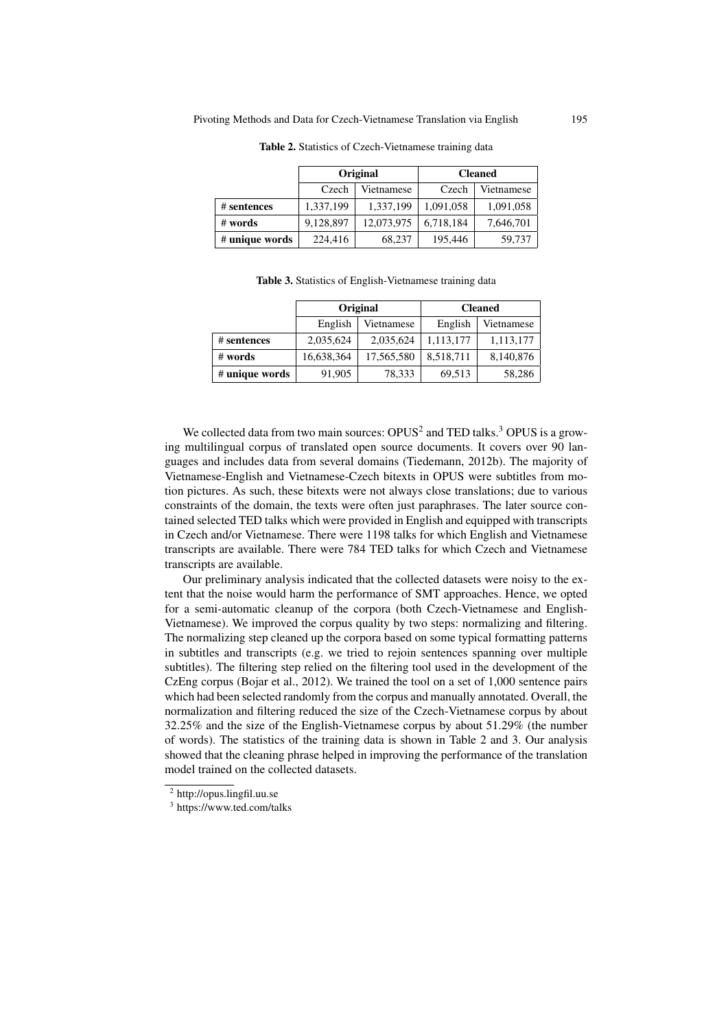|                | Original               |            | <b>Cleaned</b> |            |  |
|----------------|------------------------|------------|----------------|------------|--|
|                | Czech<br>Vietnamese    |            | Czech          | Vietnamese |  |
| # sentences    | 1,337,199<br>1,337,199 |            | 1,091,058      | 1,091,058  |  |
| # words        | 9,128,897              | 12,073,975 | 6,718,184      | 7,646,701  |  |
| # unique words | 224,416                | 68,237     | 195,446        | 59,737     |  |

Table 2. Statistics of Czech-Vietnamese training data

Table 3. Statistics of English-Vietnamese training data

|                | Original   |            | <b>Cleaned</b> |            |  |
|----------------|------------|------------|----------------|------------|--|
|                | English    | Vietnamese |                | Vietnamese |  |
| # sentences    | 2,035,624  | 2,035,624  | 1,113,177      | 1,113,177  |  |
| # words        | 16,638,364 | 17,565,580 | 8,518,711      | 8,140,876  |  |
| # unique words | 91,905     | 78,333     |                | 58,286     |  |

We collected data from two main sources:  $OPUS<sup>2</sup>$  and TED talks.<sup>3</sup> OPUS is a growing multilingual corpus of translated open source documents. It covers over 90 languages and includes data from several domains (Tiedemann, 2012b). The majority of Vietnamese-English and Vietnamese-Czech bitexts in OPUS were subtitles from motion pictures. As such, these bitexts were not always close translations; due to various constraints of the domain, the texts were often just paraphrases. The later source contained selected TED talks which were provided in English and equipped with transcripts in Czech and/or Vietnamese. There were 1198 talks for which English and Vietnamese transcripts are available. There were 784 TED talks for which Czech and Vietnamese transcripts are available.

Our preliminary analysis indicated that the collected datasets were noisy to the extent that the noise would harm the performance of SMT approaches. Hence, we opted for a semi-automatic cleanup of the corpora (both Czech-Vietnamese and English-Vietnamese). We improved the corpus quality by two steps: normalizing and filtering. The normalizing step cleaned up the corpora based on some typical formatting patterns in subtitles and transcripts (e.g. we tried to rejoin sentences spanning over multiple subtitles). The filtering step relied on the filtering tool used in the development of the CzEng corpus (Bojar et al., 2012). We trained the tool on a set of 1,000 sentence pairs which had been selected randomly from the corpus and manually annotated. Overall, the normalization and filtering reduced the size of the Czech-Vietnamese corpus by about 32.25% and the size of the English-Vietnamese corpus by about 51.29% (the number of words). The statistics of the training data is shown in Table 2 and 3. Our analysis showed that the cleaning phrase helped in improving the performance of the translation model trained on the collected datasets.

<sup>2</sup> http://opus.lingfil.uu.se

<sup>3</sup> https://www.ted.com/talks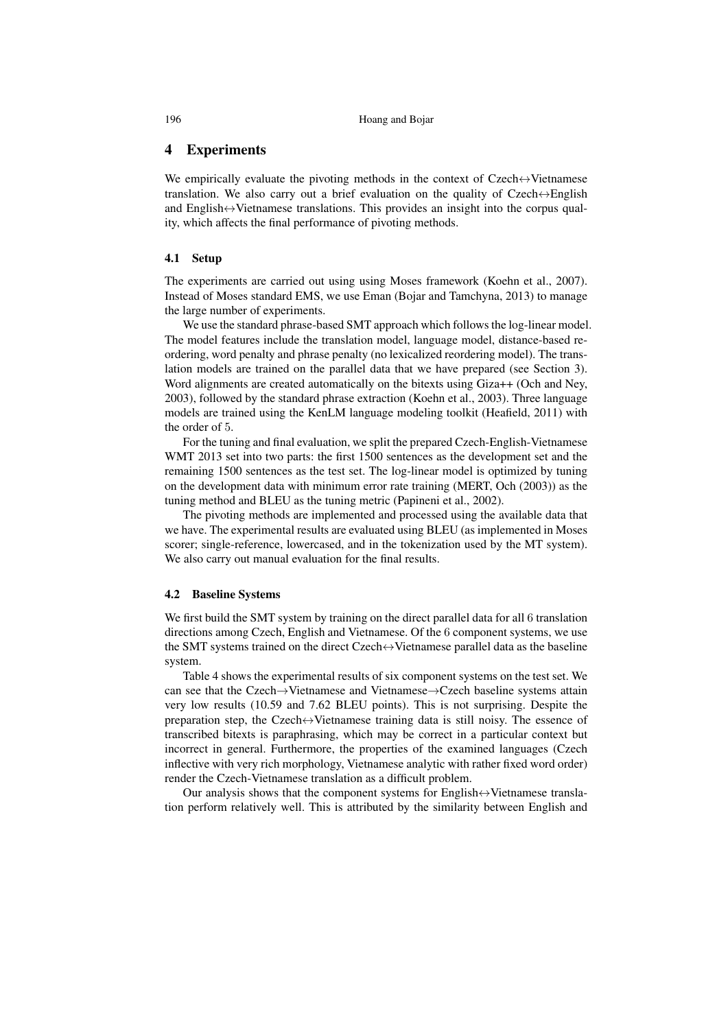## 4 Experiments

We empirically evaluate the pivoting methods in the context of Czech↔Vietnamese translation. We also carry out a brief evaluation on the quality of Czech↔English and English↔Vietnamese translations. This provides an insight into the corpus quality, which affects the final performance of pivoting methods.

## 4.1 Setup

The experiments are carried out using using Moses framework (Koehn et al., 2007). Instead of Moses standard EMS, we use Eman (Bojar and Tamchyna, 2013) to manage the large number of experiments.

We use the standard phrase-based SMT approach which follows the log-linear model. The model features include the translation model, language model, distance-based reordering, word penalty and phrase penalty (no lexicalized reordering model). The translation models are trained on the parallel data that we have prepared (see Section 3). Word alignments are created automatically on the bitexts using Giza++ (Och and Ney, 2003), followed by the standard phrase extraction (Koehn et al., 2003). Three language models are trained using the KenLM language modeling toolkit (Heafield, 2011) with the order of 5.

For the tuning and final evaluation, we split the prepared Czech-English-Vietnamese WMT 2013 set into two parts: the first 1500 sentences as the development set and the remaining 1500 sentences as the test set. The log-linear model is optimized by tuning on the development data with minimum error rate training (MERT, Och (2003)) as the tuning method and BLEU as the tuning metric (Papineni et al., 2002).

The pivoting methods are implemented and processed using the available data that we have. The experimental results are evaluated using BLEU (as implemented in Moses scorer; single-reference, lowercased, and in the tokenization used by the MT system). We also carry out manual evaluation for the final results.

## 4.2 Baseline Systems

We first build the SMT system by training on the direct parallel data for all 6 translation directions among Czech, English and Vietnamese. Of the 6 component systems, we use the SMT systems trained on the direct Czech↔Vietnamese parallel data as the baseline system.

Table 4 shows the experimental results of six component systems on the test set. We can see that the Czech→Vietnamese and Vietnamese→Czech baseline systems attain very low results (10.59 and 7.62 BLEU points). This is not surprising. Despite the preparation step, the Czech $\leftrightarrow$ Vietnamese training data is still noisy. The essence of transcribed bitexts is paraphrasing, which may be correct in a particular context but incorrect in general. Furthermore, the properties of the examined languages (Czech inflective with very rich morphology, Vietnamese analytic with rather fixed word order) render the Czech-Vietnamese translation as a difficult problem.

Our analysis shows that the component systems for English $\leftrightarrow$ Vietnamese translation perform relatively well. This is attributed by the similarity between English and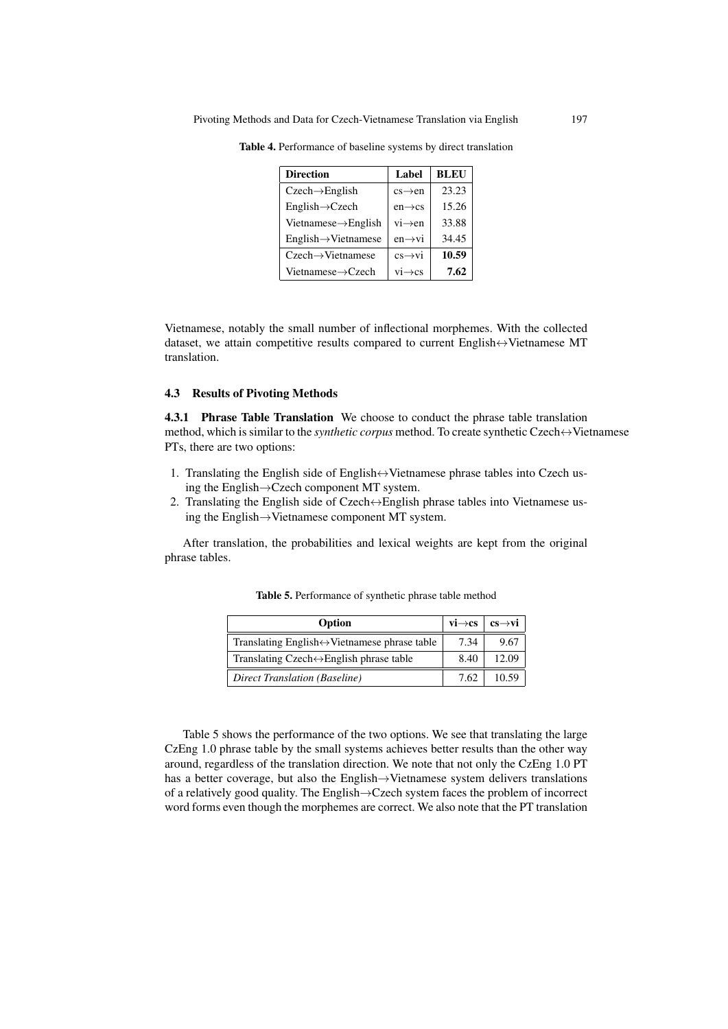| <b>Direction</b>                 | Label               | <b>BLEU</b> |
|----------------------------------|---------------------|-------------|
| $Czech \rightarrow English$      | $cs \rightarrow en$ | 23.23       |
| $English \rightarrow Czech$      | $en \rightarrow cs$ | 15.26       |
| Vietnamese $\rightarrow$ English | $vi \rightarrow en$ | 33.88       |
| $English \rightarrow Vietnamese$ | $en \rightarrow vi$ | 34.45       |
| $Czech \rightarrow Vietnamese$   | $cs \rightarrow vi$ | 10.59       |
| Vietnamese->Czech                | $vi \rightarrow cs$ | 7.62        |

Table 4. Performance of baseline systems by direct translation

Vietnamese, notably the small number of inflectional morphemes. With the collected dataset, we attain competitive results compared to current English $\leftrightarrow$ Vietnamese MT translation.

# 4.3 Results of Pivoting Methods

4.3.1 Phrase Table Translation We choose to conduct the phrase table translation method, which is similar to the *synthetic corpus* method. To create synthetic Czech ↔ Vietnamese PTs, there are two options:

- 1. Translating the English side of English↔Vietnamese phrase tables into Czech using the English→Czech component MT system.
- 2. Translating the English side of Czech $\leftrightarrow$ English phrase tables into Vietnamese using the English→Vietnamese component MT system.

After translation, the probabilities and lexical weights are kept from the original phrase tables.

| $vi \rightarrow cs$<br>Option                                 |      | $cs \rightarrow vi$ |
|---------------------------------------------------------------|------|---------------------|
| Translating English $\leftrightarrow$ Vietnamese phrase table | 7.34 | 9.67                |
| Translating Czech $\leftrightarrow$ English phrase table      | 8.40 | 12.09               |
| Direct Translation (Baseline)                                 | 7.62 | 10.59               |

Table 5. Performance of synthetic phrase table method

Table 5 shows the performance of the two options. We see that translating the large CzEng 1.0 phrase table by the small systems achieves better results than the other way around, regardless of the translation direction. We note that not only the CzEng 1.0 PT has a better coverage, but also the English→Vietnamese system delivers translations of a relatively good quality. The English→Czech system faces the problem of incorrect word forms even though the morphemes are correct. We also note that the PT translation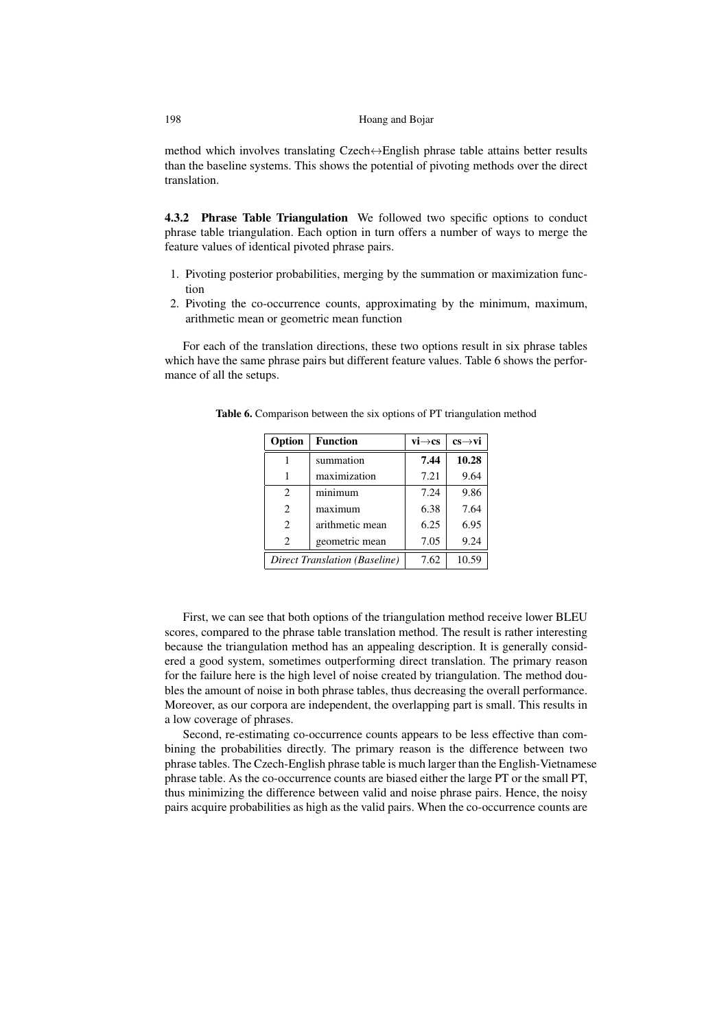method which involves translating Czech↔English phrase table attains better results than the baseline systems. This shows the potential of pivoting methods over the direct translation.

4.3.2 Phrase Table Triangulation We followed two specific options to conduct phrase table triangulation. Each option in turn offers a number of ways to merge the feature values of identical pivoted phrase pairs.

- 1. Pivoting posterior probabilities, merging by the summation or maximization function
- 2. Pivoting the co-occurrence counts, approximating by the minimum, maximum, arithmetic mean or geometric mean function

For each of the translation directions, these two options result in six phrase tables which have the same phrase pairs but different feature values. Table 6 shows the performance of all the setups.

| Option                        | <b>Function</b>               | $vi \rightarrow cs$ | $cs \rightarrow vi$ |  |
|-------------------------------|-------------------------------|---------------------|---------------------|--|
|                               | summation                     | 7.44                | 10.28               |  |
|                               | maximization                  | 7.21                | 9.64                |  |
| $\mathfrak{D}_{\mathfrak{p}}$ | minimum                       | 7.24                | 9.86                |  |
| $\mathfrak{D}_{\mathfrak{p}}$ | maximum                       | 6.38                | 7.64                |  |
| $\mathfrak{D}_{\mathfrak{p}}$ | arithmetic mean               | 6.25                | 6.95                |  |
| $\mathcal{D}_{\mathcal{L}}$   | geometric mean                | 7.05                | 9.24                |  |
|                               | Direct Translation (Baseline) | 7.62                | 10.59               |  |

Table 6. Comparison between the six options of PT triangulation method

First, we can see that both options of the triangulation method receive lower BLEU scores, compared to the phrase table translation method. The result is rather interesting because the triangulation method has an appealing description. It is generally considered a good system, sometimes outperforming direct translation. The primary reason for the failure here is the high level of noise created by triangulation. The method doubles the amount of noise in both phrase tables, thus decreasing the overall performance. Moreover, as our corpora are independent, the overlapping part is small. This results in a low coverage of phrases.

Second, re-estimating co-occurrence counts appears to be less effective than combining the probabilities directly. The primary reason is the difference between two phrase tables. The Czech-English phrase table is much larger than the English-Vietnamese phrase table. As the co-occurrence counts are biased either the large PT or the small PT, thus minimizing the difference between valid and noise phrase pairs. Hence, the noisy pairs acquire probabilities as high as the valid pairs. When the co-occurrence counts are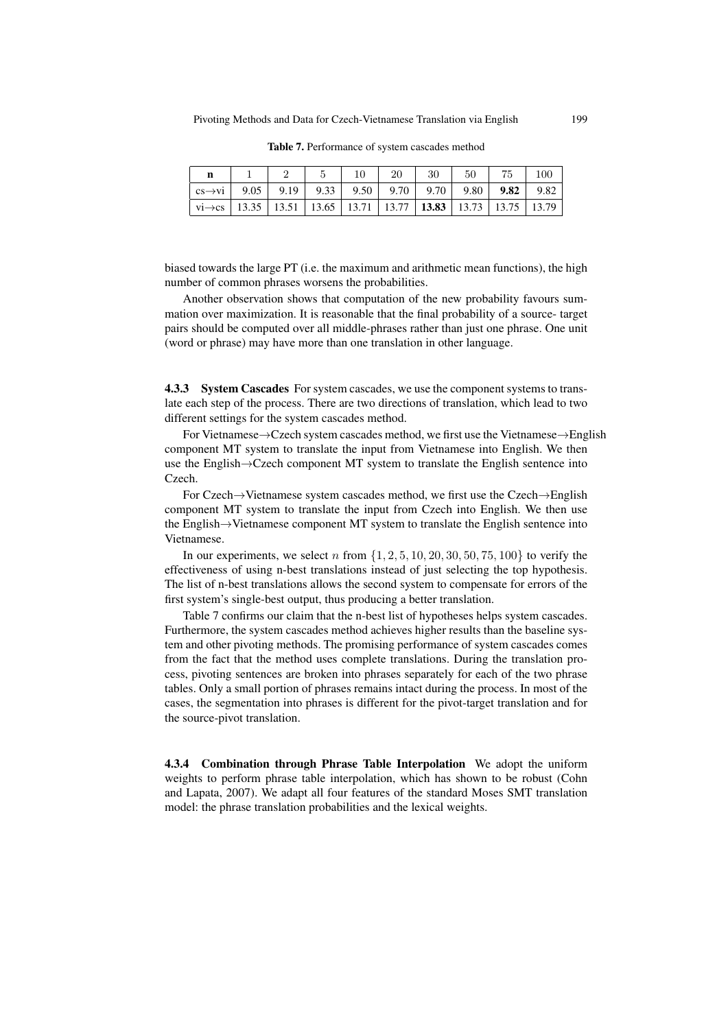| n                                                                                                                                                |  | $\perp$ 10 | 20 | $30 \quad  $ | - 50 | 75 | 100 |
|--------------------------------------------------------------------------------------------------------------------------------------------------|--|------------|----|--------------|------|----|-----|
| $\vert$ cs $\rightarrow$ vi $\vert$ 9.05 $\vert$ 9.19 $\vert$ 9.33 $\vert$ 9.50 $\vert$ 9.70 $\vert$ 9.70 $\vert$ 9.80 $\vert$ 9.82 $\vert$ 9.82 |  |            |    |              |      |    |     |
| $\text{vi}\rightarrow\text{cs}$   13.35   13.51   13.65   13.71   13.77   <b>13.83</b>   13.73   13.75   13.79                                   |  |            |    |              |      |    |     |

Table 7. Performance of system cascades method

biased towards the large PT (i.e. the maximum and arithmetic mean functions), the high number of common phrases worsens the probabilities.

Another observation shows that computation of the new probability favours summation over maximization. It is reasonable that the final probability of a source- target pairs should be computed over all middle-phrases rather than just one phrase. One unit (word or phrase) may have more than one translation in other language.

4.3.3 System Cascades For system cascades, we use the component systems to translate each step of the process. There are two directions of translation, which lead to two different settings for the system cascades method.

For Vietnamese→Czech system cascades method, we first use the Vietnamese→English component MT system to translate the input from Vietnamese into English. We then use the English→Czech component MT system to translate the English sentence into Czech.

For Czech→Vietnamese system cascades method, we first use the Czech→English component MT system to translate the input from Czech into English. We then use the English→Vietnamese component MT system to translate the English sentence into Vietnamese.

In our experiments, we select n from  $\{1, 2, 5, 10, 20, 30, 50, 75, 100\}$  to verify the effectiveness of using n-best translations instead of just selecting the top hypothesis. The list of n-best translations allows the second system to compensate for errors of the first system's single-best output, thus producing a better translation.

Table 7 confirms our claim that the n-best list of hypotheses helps system cascades. Furthermore, the system cascades method achieves higher results than the baseline system and other pivoting methods. The promising performance of system cascades comes from the fact that the method uses complete translations. During the translation process, pivoting sentences are broken into phrases separately for each of the two phrase tables. Only a small portion of phrases remains intact during the process. In most of the cases, the segmentation into phrases is different for the pivot-target translation and for the source-pivot translation.

4.3.4 Combination through Phrase Table Interpolation We adopt the uniform weights to perform phrase table interpolation, which has shown to be robust (Cohn and Lapata, 2007). We adapt all four features of the standard Moses SMT translation model: the phrase translation probabilities and the lexical weights.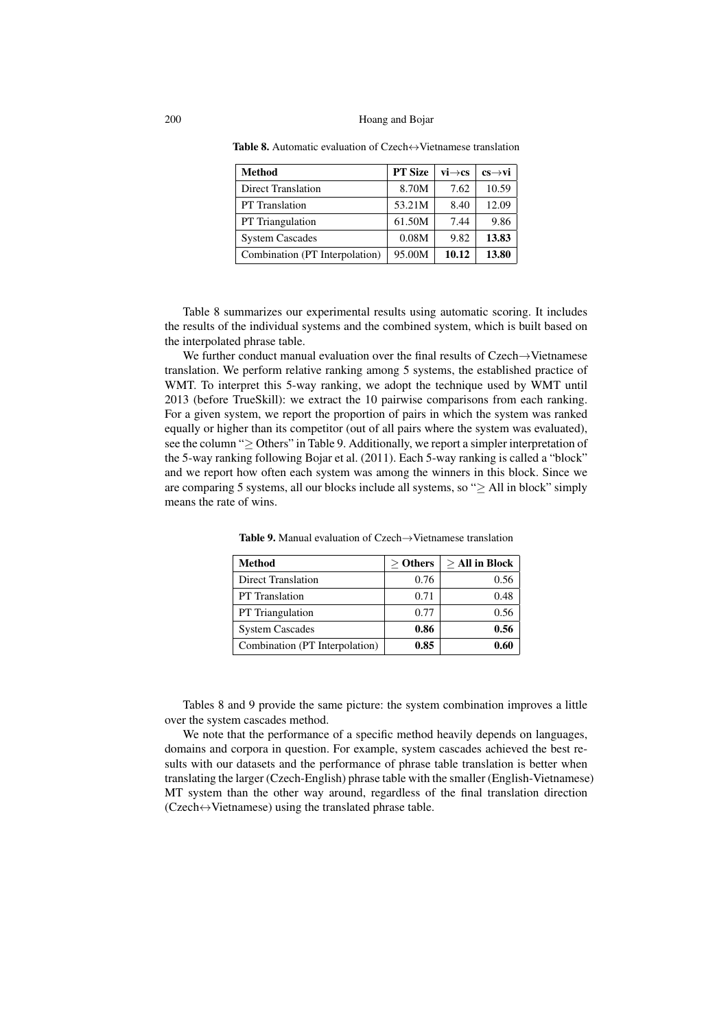| <b>Method</b>                  | <b>PT Size</b> | $vi \rightarrow cs$ | $cs \rightarrow vi$ |
|--------------------------------|----------------|---------------------|---------------------|
| <b>Direct Translation</b>      | 8.70M          | 7.62                | 10.59               |
| <b>PT</b> Translation          | 53.21M         | 8.40                | 12.09               |
| <b>PT</b> Triangulation        | 61.50M         | 7.44                | 9.86                |
| <b>System Cascades</b>         | 0.08M          | 9.82                | 13.83               |
| Combination (PT Interpolation) | 95.00M         | 10.12               | 13.80               |

Table 8. Automatic evaluation of Czech⇔Vietnamese translation

Table 8 summarizes our experimental results using automatic scoring. It includes the results of the individual systems and the combined system, which is built based on the interpolated phrase table.

We further conduct manual evaluation over the final results of Czech→Vietnamese translation. We perform relative ranking among 5 systems, the established practice of WMT. To interpret this 5-way ranking, we adopt the technique used by WMT until 2013 (before TrueSkill): we extract the 10 pairwise comparisons from each ranking. For a given system, we report the proportion of pairs in which the system was ranked equally or higher than its competitor (out of all pairs where the system was evaluated), see the column "≥ Others" in Table 9. Additionally, we report a simpler interpretation of the 5-way ranking following Bojar et al. (2011). Each 5-way ranking is called a "block" and we report how often each system was among the winners in this block. Since we are comparing 5 systems, all our blocks include all systems, so " $\geq$  All in block" simply means the rate of wins.

| Method                         | $>$ Others | $>$ All in Block |
|--------------------------------|------------|------------------|
| <b>Direct Translation</b>      | 0.76       | 0.56             |
| <b>PT</b> Translation          | 0.71       | 0.48             |
| <b>PT</b> Triangulation        | 0.77       | 0.56             |
| <b>System Cascades</b>         | 0.86       | 0.56             |
| Combination (PT Interpolation) | 0.85       | 0.60             |

Table 9. Manual evaluation of Czech→Vietnamese translation

Tables 8 and 9 provide the same picture: the system combination improves a little over the system cascades method.

We note that the performance of a specific method heavily depends on languages, domains and corpora in question. For example, system cascades achieved the best results with our datasets and the performance of phrase table translation is better when translating the larger (Czech-English) phrase table with the smaller (English-Vietnamese) MT system than the other way around, regardless of the final translation direction (Czech↔Vietnamese) using the translated phrase table.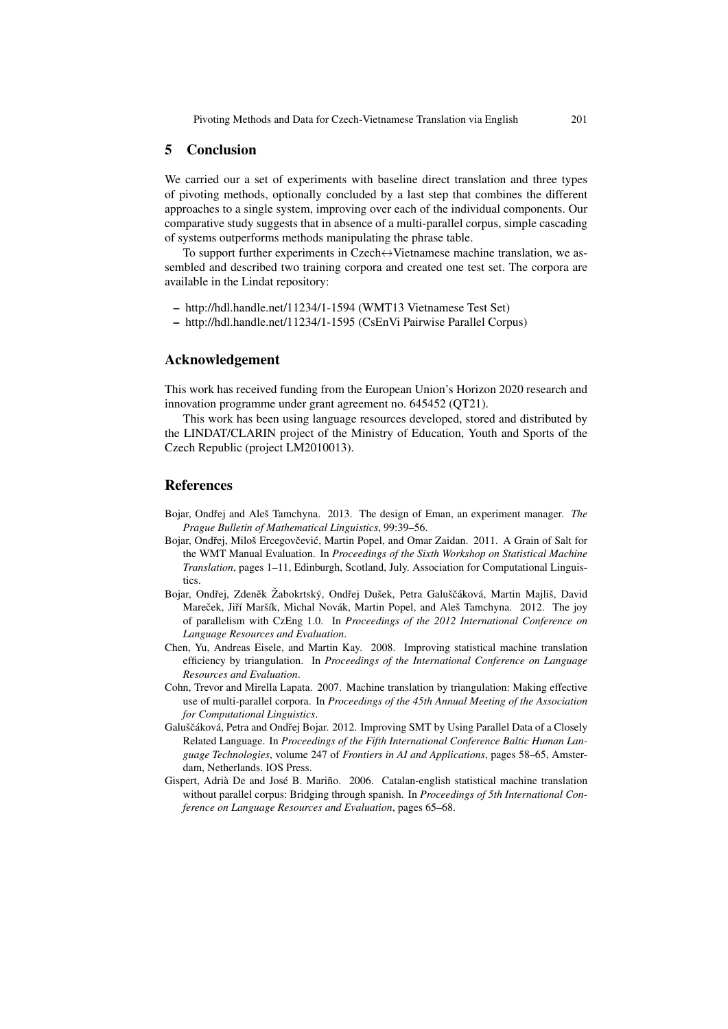# 5 Conclusion

We carried our a set of experiments with baseline direct translation and three types of pivoting methods, optionally concluded by a last step that combines the different approaches to a single system, improving over each of the individual components. Our comparative study suggests that in absence of a multi-parallel corpus, simple cascading of systems outperforms methods manipulating the phrase table.

To support further experiments in Czech $\leftrightarrow$ Vietnamese machine translation, we assembled and described two training corpora and created one test set. The corpora are available in the Lindat repository:

- http://hdl.handle.net/11234/1-1594 (WMT13 Vietnamese Test Set)
- http://hdl.handle.net/11234/1-1595 (CsEnVi Pairwise Parallel Corpus)

## Acknowledgement

This work has received funding from the European Union's Horizon 2020 research and innovation programme under grant agreement no. 645452 (QT21).

This work has been using language resources developed, stored and distributed by the LINDAT/CLARIN project of the Ministry of Education, Youth and Sports of the Czech Republic (project LM2010013).

## References

- Bojar, Ondřej and Aleš Tamchyna. 2013. The design of Eman, an experiment manager. The *Prague Bulletin of Mathematical Linguistics*, 99:39–56.
- Bojar, Ondřej, Miloš Ercegovčević, Martin Popel, and Omar Zaidan. 2011. A Grain of Salt for the WMT Manual Evaluation. In *Proceedings of the Sixth Workshop on Statistical Machine Translation*, pages 1–11, Edinburgh, Scotland, July. Association for Computational Linguistics.
- Bojar, Ondřej, Zdeněk Žabokrtský, Ondřej Dušek, Petra Galuščáková, Martin Majliš, David Mareček, Jiří Maršík, Michal Novák, Martin Popel, and Aleš Tamchyna. 2012. The joy of parallelism with CzEng 1.0. In *Proceedings of the 2012 International Conference on Language Resources and Evaluation*.
- Chen, Yu, Andreas Eisele, and Martin Kay. 2008. Improving statistical machine translation efficiency by triangulation. In *Proceedings of the International Conference on Language Resources and Evaluation*.
- Cohn, Trevor and Mirella Lapata. 2007. Machine translation by triangulation: Making effective use of multi-parallel corpora. In *Proceedings of the 45th Annual Meeting of the Association for Computational Linguistics*.
- Galuščáková, Petra and Ondřej Bojar. 2012. Improving SMT by Using Parallel Data of a Closely Related Language. In *Proceedings of the Fifth International Conference Baltic Human Language Technologies*, volume 247 of *Frontiers in AI and Applications*, pages 58–65, Amsterdam, Netherlands. IOS Press.
- Gispert, Adrià De and José B. Mariño. 2006. Catalan-english statistical machine translation without parallel corpus: Bridging through spanish. In *Proceedings of 5th International Conference on Language Resources and Evaluation*, pages 65–68.